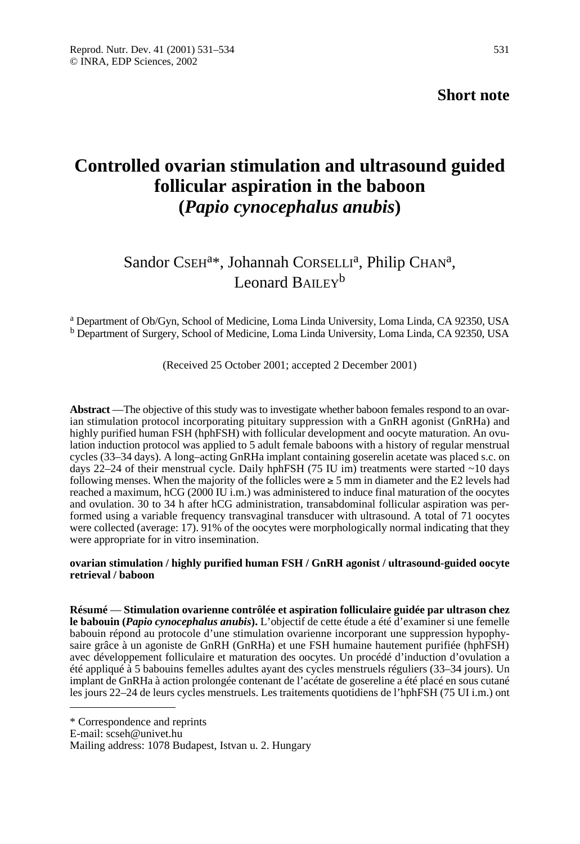**Short note**

# **Controlled ovarian stimulation and ultrasound guided follicular aspiration in the baboon (***Papio cynocephalus anubis***)**

## Sandor CSEH<sup>a\*</sup>, Johannah CORSELLI<sup>a</sup>, Philip CHAN<sup>a</sup>, Leonard BAILEY<sup>b</sup>

<sup>a</sup> Department of Ob/Gyn, School of Medicine, Loma Linda University, Loma Linda, CA 92350, USA <sup>b</sup> Department of Surgery, School of Medicine, Loma Linda University, Loma Linda, CA 92350, USA

(Received 25 October 2001; accepted 2 December 2001)

**Abstract** —The objective of this study was to investigate whether baboon females respond to an ovarian stimulation protocol incorporating pituitary suppression with a GnRH agonist (GnRHa) and highly purified human FSH (hphFSH) with follicular development and oocyte maturation. An ovulation induction protocol was applied to 5 adult female baboons with a history of regular menstrual cycles (33–34 days). A long–acting GnRHa implant containing goserelin acetate was placed s.c. on days 22–24 of their menstrual cycle. Daily hphFSH (75 IU im) treatments were started  $\sim$ 10 days following menses. When the majority of the follicles were  $\geq 5$  mm in diameter and the E2 levels had reached a maximum, hCG (2000 IU i.m.) was administered to induce final maturation of the oocytes and ovulation. 30 to 34 h after hCG administration, transabdominal follicular aspiration was performed using a variable frequency transvaginal transducer with ultrasound. A total of 71 oocytes were collected (average: 17). 91% of the oocytes were morphologically normal indicating that they were appropriate for in vitro insemination.

#### **ovarian stimulation / highly purified human FSH / GnRH agonist / ultrasound-guided oocyte retrieval / baboon**

**Résumé** — **Stimulation ovarienne contrôlée et aspiration folliculaire guidée par ultrason chez le babouin (***Papio cynocephalus anubis***).** L'objectif de cette étude a été d'examiner si une femelle babouin répond au protocole d'une stimulation ovarienne incorporant une suppression hypophysaire grâce à un agoniste de GnRH (GnRHa) et une FSH humaine hautement purifiée (hphFSH) avec développement folliculaire et maturation des oocytes. Un procédé d'induction d'ovulation a été appliqué à 5 babouins femelles adultes ayant des cycles menstruels réguliers (33–34 jours). Un implant de GnRHa à action prolongée contenant de l'acétate de gosereline a été placé en sous cutané les jours 22–24 de leurs cycles menstruels. Les traitements quotidiens de l'hphFSH (75 UI i.m.) ont

\* Correspondence and reprints

E-mail: scseh@univet.hu

Mailing address: 1078 Budapest, Istvan u. 2. Hungary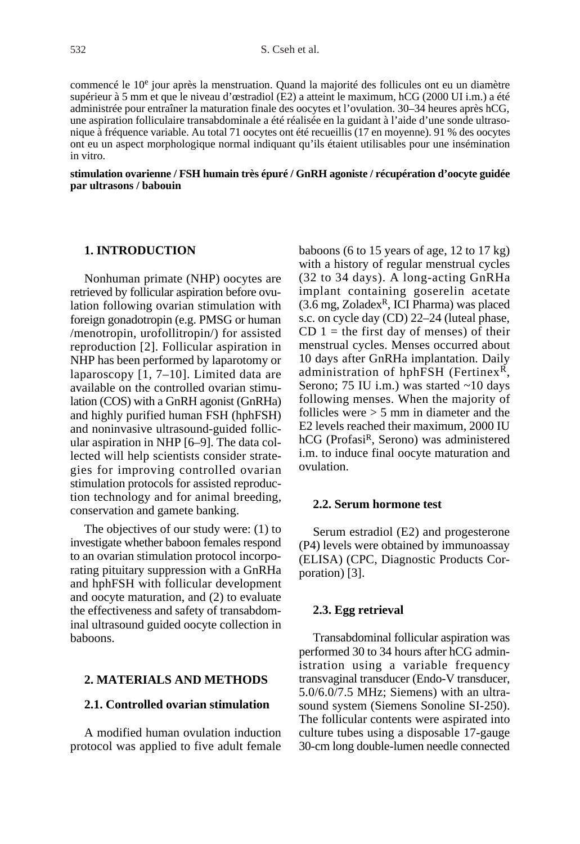commencé le 10e jour après la menstruation. Quand la majorité des follicules ont eu un diamètre supérieur à 5 mm et que le niveau d'œstradiol (E2) a atteint le maximum, hCG (2000 UI i.m.) a été administrée pour entraîner la maturation finale des oocytes et l'ovulation. 30–34 heures après hCG, une aspiration folliculaire transabdominale a été réalisée en la guidant à l'aide d'une sonde ultrasonique à fréquence variable. Au total 71 oocytes ont été recueillis (17 en moyenne). 91 % des oocytes ont eu un aspect morphologique normal indiquant qu'ils étaient utilisables pour une insémination in vitro.

#### **stimulation ovarienne / FSH humain très épuré / GnRH agoniste / récupération d'oocyte guidée par ultrasons / babouin**

## **1. INTRODUCTION**

Nonhuman primate (NHP) oocytes are retrieved by follicular aspiration before ovulation following ovarian stimulation with foreign gonadotropin (e.g. PMSG or human /menotropin, urofollitropin/) for assisted reproduction [2]. Follicular aspiration in NHP has been performed by laparotomy or laparoscopy [1, 7–10]. Limited data are available on the controlled ovarian stimulation (COS) with a GnRH agonist (GnRHa) and highly purified human FSH (hphFSH) and noninvasive ultrasound-guided follicular aspiration in NHP [6–9]. The data collected will help scientists consider strategies for improving controlled ovarian stimulation protocols for assisted reproduction technology and for animal breeding, conservation and gamete banking.

The objectives of our study were: (1) to investigate whether baboon females respond to an ovarian stimulation protocol incorporating pituitary suppression with a GnRHa and hphFSH with follicular development and oocyte maturation, and (2) to evaluate the effectiveness and safety of transabdominal ultrasound guided oocyte collection in baboons.

## **2. MATERIALS AND METHODS**

## **2.1. Controlled ovarian stimulation**

A modified human ovulation induction protocol was applied to five adult female baboons (6 to 15 years of age, 12 to 17 kg) with a history of regular menstrual cycles (32 to 34 days). A long-acting GnRHa implant containing goserelin acetate  $(3.6 \text{ mg}, \text{Zoladex}^R, \text{ICI Pharma})$  was placed s.c. on cycle day (CD) 22–24 (luteal phase,  $CD 1$  = the first day of menses) of their menstrual cycles. Menses occurred about 10 days after GnRHa implantation. Daily administration of hphFSH (Fertinex<sup>R</sup>, Serono; 75 IU i.m.) was started ~10 days following menses. When the majority of follicles were  $> 5$  mm in diameter and the E2 levels reached their maximum, 2000 IU hCG (Profasi<sup>R</sup>, Serono) was administered i.m. to induce final oocyte maturation and ovulation.

#### **2.2. Serum hormone test**

Serum estradiol (E2) and progesterone (P4) levels were obtained by immunoassay (ELISA) (CPC, Diagnostic Products Corporation) [3].

#### **2.3. Egg retrieval**

Transabdominal follicular aspiration was performed 30 to 34 hours after hCG administration using a variable frequency transvaginal transducer (Endo-V transducer, 5.0/6.0/7.5 MHz; Siemens) with an ultrasound system (Siemens Sonoline SI-250). The follicular contents were aspirated into culture tubes using a disposable 17-gauge 30-cm long double-lumen needle connected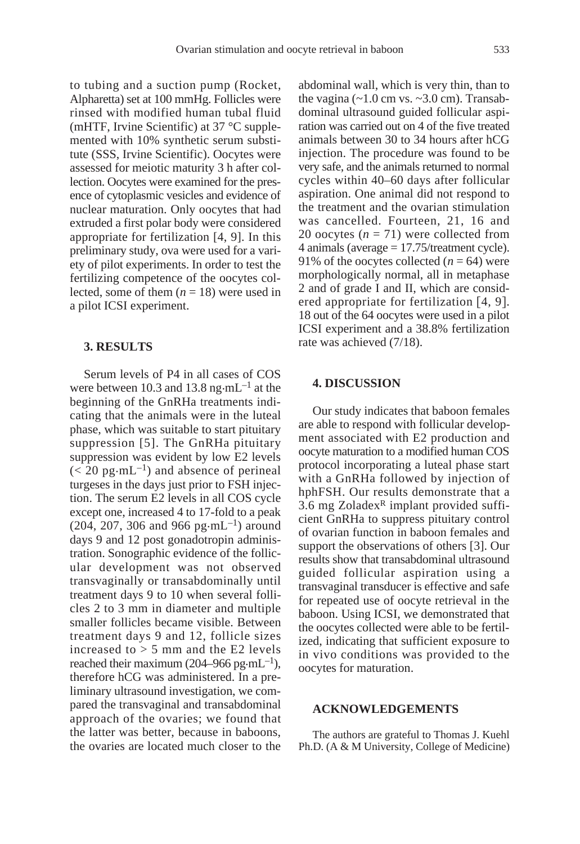to tubing and a suction pump (Rocket, Alpharetta) set at 100 mmHg. Follicles were rinsed with modified human tubal fluid (mHTF, Irvine Scientific) at 37 °C supplemented with 10% synthetic serum substitute (SSS, Irvine Scientific). Oocytes were assessed for meiotic maturity 3 h after collection. Oocytes were examined for the presence of cytoplasmic vesicles and evidence of nuclear maturation. Only oocytes that had extruded a first polar body were considered appropriate for fertilization [4, 9]. In this preliminary study, ova were used for a variety of pilot experiments. In order to test the fertilizing competence of the oocytes collected, some of them  $(n = 18)$  were used in a pilot ICSI experiment.

#### **3. RESULTS**

Serum levels of P4 in all cases of COS were between 10.3 and 13.8 ng $\cdot$ mL<sup>-1</sup> at the beginning of the GnRHa treatments indicating that the animals were in the luteal phase, which was suitable to start pituitary suppression [5]. The GnRHa pituitary suppression was evident by low E2 levels  $(< 20 \text{ pg} \cdot \text{mL}^{-1})$  and absence of perineal turgeses in the days just prior to FSH injection. The serum E2 levels in all COS cycle except one, increased 4 to 17-fold to a peak  $(204, 207, 306 \text{ and } 966 \text{ pg} \cdot \text{mL}^{-1})$  around days 9 and 12 post gonadotropin administration. Sonographic evidence of the follicular development was not observed transvaginally or transabdominally until treatment days 9 to 10 when several follicles 2 to 3 mm in diameter and multiple smaller follicles became visible. Between treatment days 9 and 12, follicle sizes increased to  $> 5$  mm and the E2 levels reached their maximum (204–966 pg·mL<sup>-1</sup>), therefore hCG was administered. In a preliminary ultrasound investigation, we compared the transvaginal and transabdominal approach of the ovaries; we found that the latter was better, because in baboons, the ovaries are located much closer to the

abdominal wall, which is very thin, than to the vagina  $(-1.0 \text{ cm vs. } -3.0 \text{ cm})$ . Transabdominal ultrasound guided follicular aspiration was carried out on 4 of the five treated animals between 30 to 34 hours after hCG injection. The procedure was found to be very safe, and the animals returned to normal cycles within 40–60 days after follicular aspiration. One animal did not respond to the treatment and the ovarian stimulation was cancelled. Fourteen, 21, 16 and 20 oocytes  $(n = 71)$  were collected from 4 animals (average = 17.75/treatment cycle). 91% of the oocytes collected  $(n = 64)$  were morphologically normal, all in metaphase 2 and of grade I and II, which are considered appropriate for fertilization [4, 9]. 18 out of the 64 oocytes were used in a pilot ICSI experiment and a 38.8% fertilization rate was achieved (7/18).

## **4. DISCUSSION**

Our study indicates that baboon females are able to respond with follicular development associated with E2 production and oocyte maturation to a modified human COS protocol incorporating a luteal phase start with a GnRHa followed by injection of hphFSH. Our results demonstrate that a 3.6 mg Zoladex $R$  implant provided sufficient GnRHa to suppress pituitary control of ovarian function in baboon females and support the observations of others [3]. Our results show that transabdominal ultrasound guided follicular aspiration using a transvaginal transducer is effective and safe for repeated use of oocyte retrieval in the baboon. Using ICSI, we demonstrated that the oocytes collected were able to be fertilized, indicating that sufficient exposure to in vivo conditions was provided to the oocytes for maturation.

#### **ACKNOWLEDGEMENTS**

The authors are grateful to Thomas J. Kuehl Ph.D. (A & M University, College of Medicine)